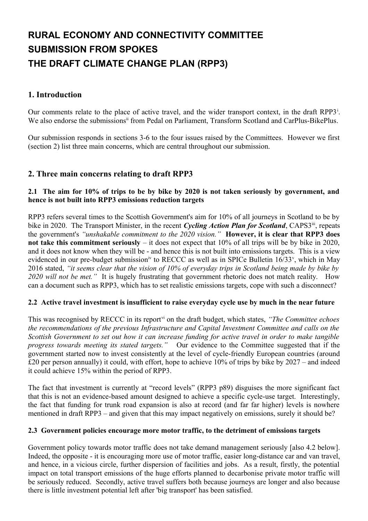# **RURAL ECONOMY AND CONNECTIVITY COMMITTEE SUBMISSION FROM SPOKES THE DRAFT CLIMATE CHANGE PLAN (RPP3)**

## **1. Introduction**

Our comments relate to the place of act[i](#page-3-0)ve travel, and the wider transport context, in the draft RPP3<sup>1</sup>. We also endorse the submissions<sup>[ii](#page-3-1)</sup> from Pedal on Parliament, Transform Scotland and CarPlus-BikePlus.

Our submission responds in sections 3-6 to the four issues raised by the Committees. However we first (section 2) list three main concerns, which are central throughout our submission.

## **2. Three main concerns relating to draft RPP3**

### **2.1 The aim for 10% of trips to be by bike by 2020 is not taken seriously by government, and hence is not built into RPP3 emissions reduction targets**

RPP3 refers several times to the Scottish Government's aim for 10% of all journeys in Scotland to be by bike in 2020. The Transport Minister, in the recent *Cycling Action Plan for Scotland*, CAPS3<sup>[iii](#page-3-2)</sup>, repeats the government's *"unshakable commitment to the 2020 vision."* **However, it is clear that RPP3 does not take this commitment seriously** – it does not expect that 10% of all trips will be by bike in 2020, and it does not know when they will be - and hence this is not built into emissions targets. This is a view evidenced in our pre-budget submission<sup>[iv](#page-3-3)</sup> to RECCC as well as in SPICe Bulletin 16/33<sup>[v](#page-3-4)</sup>, which in May 2016 stated, *"it seems clear that the vision of 10% of everyday trips in Scotland being made by bike by 2020 will not be met."* It is hugely frustrating that government rhetoric does not match reality. How can a document such as RPP3, which has to set realistic emissions targets, cope with such a disconnect?

### **2.2 Active travel investment is insufficient to raise everyday cycle use by much in the near future**

This was recognised by RECCC in its report<sup>[vi](#page-3-5)</sup> on the draft budget, which states, "The Committee echoes *the recommendations of the previous Infrastructure and Capital Investment Committee and calls on the Scottish Government to set out how it can increase funding for active travel in order to make tangible progress towards meeting its stated targets."* Our evidence to the Committee suggested that if the government started now to invest consistently at the level of cycle-friendly European countries (around £20 per person annually) it could, with effort, hope to achieve 10% of trips by bike by 2027 – and indeed it could achieve 15% within the period of RPP3.

The fact that investment is currently at "record levels" (RPP3 p89) disguises the more significant fact that this is not an evidence-based amount designed to achieve a specific cycle-use target. Interestingly, the fact that funding for trunk road expansion is also at record (and far far higher) levels is nowhere mentioned in draft RPP3 – and given that this may impact negatively on emissions, surely it should be?

### **2.3 Government policies encourage more motor traffic, to the detriment of emissions targets**

Government policy towards motor traffic does not take demand management seriously [also 4.2 below]. Indeed, the opposite - it is encouraging more use of motor traffic, easier long-distance car and van travel, and hence, in a vicious circle, further dispersion of facilities and jobs. As a result, firstly, the potential impact on total transport emissions of the huge efforts planned to decarbonise private motor traffic will be seriously reduced. Secondly, active travel suffers both because journeys are longer and also because there is little investment potential left after 'big transport' has been satisfied.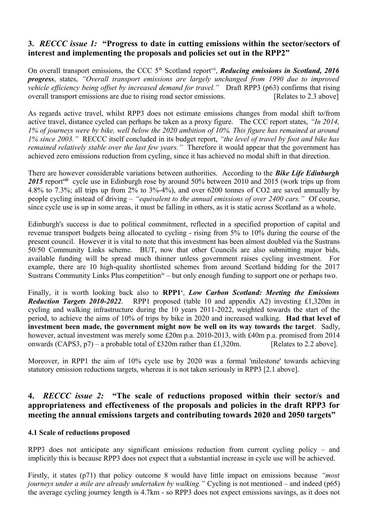## **3.** *RECCC issue 1:* **"Progress to date in cutting emissions within the sector/sectors of interest and implementing the proposals and policies set out in the RPP2"**

On overall transport emissions, the CCC 5<sup>th</sup> Scotland report<sup>[vii](#page-3-6)</sup>, *Reducing emissions in Scotland, 2016 progress*, states, *"Overall transport emissions are largely unchanged from 1990 due to improved vehicle efficiency being offset by increased demand for travel."* Draft RPP3 (p63) confirms that rising overall transport emissions are due to rising road sector emissions. [Relates to 2.3 above]

As regards active travel, whilst RPP3 does not estimate emissions changes from modal shift to/from active travel, distance cycled can perhaps be taken as a proxy figure. The CCC report states, *"In 2014, 1% of journeys were by bike, well below the 2020 ambition of 10%. This figure has remained at around 1% since 2003."* RECCC itself concluded in its budget report, *"the level of travel by foot and bike has remained relatively stable over the last few years."* Therefore it would appear that the government has achieved zero emissions reduction from cycling, since it has achieved no modal shift in that direction.

There are however considerable variations between authorities. According to the *Bike Life Edinburgh* 2015 report<sup>[viii](#page-3-7)</sup> cycle use in Edinburgh rose by around 50% between 2010 and 2015 (work trips up from 4.8% to 7.3%; all trips up from 2% to 3%-4%), and over 6200 tonnes of CO2 are saved annually by people cycling instead of driving – *"equivalent to the annual emissions of over 2400 cars."* Of course, since cycle use is up in some areas, it must be falling in others, as it is static across Scotland as a whole.

Edinburgh's success is due to political commitment, reflected in a specified proportion of capital and revenue transport budgets being allocated to cycling - rising from 5% to 10% during the course of the present council. However it is vital to note that this investment has been almost doubled via the Sustrans 50/50 Community Links scheme. BUT, now that other Councils are also submitting major bids, available funding will be spread much thinner unless government raises cycling investment. For example, there are 10 high-quality shortlisted schemes from around Scotland bidding for the 2017 Sustrans Community Links Plus competition<sup>[ix](#page-3-8)</sup> – but only enough funding to support one or perhaps two.

Finally, it is worth looking back also to RPP1<sup>[x](#page-3-9)</sup>, *Low Carbon Scotland: Meeting the Emissions Reduction Targets 2010-2022*. RPP1 proposed (table 10 and appendix A2) investing £1,320m in cycling and walking infrastructure during the 10 years 2011-2022, weighted towards the start of the period, to achieve the aims of 10% of trips by bike in 2020 and increased walking. **Had that level of investment been made, the government might now be well on its way towards the target**. Sadly, however, actual investment was merely some £20m p.a. 2010-2013, with £40m p.a. promised from 2014 onwards (CAPS3,  $p7$ ) – a probable total of £320m rather than £1,320m. [Relates to 2.2 above].

Moreover, in RPP1 the aim of 10% cycle use by 2020 was a formal 'milestone' towards achieving statutory emission reductions targets, whereas it is not taken seriously in RPP3 [2.1 above].

# **4.** *RECCC issue 2:* **"The scale of reductions proposed within their sector/s and appropriateness and effectiveness of the proposals and policies in the draft RPP3 for meeting the annual emissions targets and contributing towards 2020 and 2050 targets"**

## **4.1 Scale of reductions proposed**

RPP3 does not anticipate any significant emissions reduction from current cycling policy – and implicitly this is because RPP3 does not expect that a substantial increase in cycle use will be achieved.

Firstly, it states (p71) that policy outcome 8 would have little impact on emissions because *"most journeys under a mile are already undertaken by walking."* Cycling is not mentioned – and indeed (p65) the average cycling journey length is 4.7km - so RPP3 does not expect emissions savings, as it does not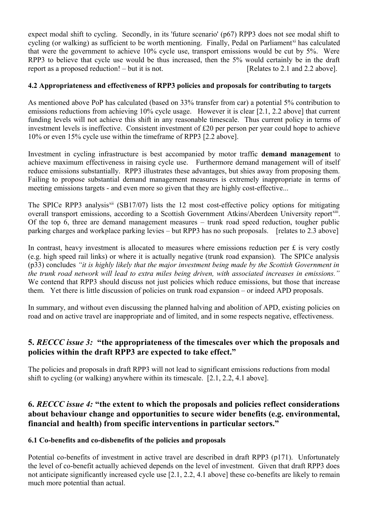expect modal shift to cycling. Secondly, in its 'future scenario' (p67) RPP3 does not see modal shift to cycling (or walking) as sufficient to be worth mentioning. Finally, Pedal on Parliament<sup>[xi](#page-3-10)</sup> has calculated that were the government to achieve 10% cycle use, transport emissions would be cut by 5%. Were RPP3 to believe that cycle use would be thus increased, then the 5% would certainly be in the draft report as a proposed reduction! – but it is not. [Relates to 2.1 and 2.2 above].

## **4.2 Appropriateness and effectiveness of RPP3 policies and proposals for contributing to targets**

As mentioned above PoP has calculated (based on 33% transfer from car) a potential 5% contribution to emissions reductions from achieving 10% cycle usage. However it is clear [2.1, 2.2 above] that current funding levels will not achieve this shift in any reasonable timescale. Thus current policy in terms of investment levels is ineffective. Consistent investment of £20 per person per year could hope to achieve 10% or even 15% cycle use within the timeframe of RPP3 [2.2 above].

Investment in cycling infrastructure is best accompanied by motor traffic **demand management** to achieve maximum effectiveness in raising cycle use. Furthermore demand management will of itself reduce emissions substantially. RPP3 illustrates these advantages, but shies away from proposing them. Failing to propose substantial demand management measures is extremely inappropriate in terms of meeting emissions targets - and even more so given that they are highly cost-effective...

The SPICe RPP3 analysis<sup>[xii](#page-3-11)</sup> (SB17/07) lists the 12 most cost-effective policy options for mitigating overall transport emissions, according to a Scottish Government Atkins/Aberdeen University report[xiii](#page-3-12). Of the top 6, three are demand management measures – trunk road speed reduction, tougher public parking charges and workplace parking levies – but RPP3 has no such proposals. [relates to 2.3 above]

In contrast, heavy investment is allocated to measures where emissions reduction per £ is very costly (e.g. high speed rail links) or where it is actually negative (trunk road expansion). The SPICe analysis (p33) concludes *"it is highly likely that the major investment being made by the Scottish Government in the trunk road network will lead to extra miles being driven, with associated increases in emissions."* We contend that RPP3 should discuss not just policies which reduce emissions, but those that increase them. Yet there is little discussion of policies on trunk road expansion – or indeed APD proposals.

In summary, and without even discussing the planned halving and abolition of APD, existing policies on road and on active travel are inappropriate and of limited, and in some respects negative, effectiveness.

# **5.** *RECCC issue 3:* **"the appropriateness of the timescales over which the proposals and policies within the draft RPP3 are expected to take effect."**

The policies and proposals in draft RPP3 will not lead to significant emissions reductions from modal shift to cycling (or walking) anywhere within its timescale. [2.1, 2.2, 4.1 above].

# **6.** *RECCC issue 4:* **"the extent to which the proposals and policies reflect considerations about behaviour change and opportunities to secure wider benefits (e.g. environmental, financial and health) from specific interventions in particular sectors."**

### **6.1 Co-benefits and co-disbenefits of the policies and proposals**

Potential co-benefits of investment in active travel are described in draft RPP3 (p171). Unfortunately the level of co-benefit actually achieved depends on the level of investment. Given that draft RPP3 does not anticipate significantly increased cycle use [2.1, 2.2, 4.1 above] these co-benefits are likely to remain much more potential than actual.